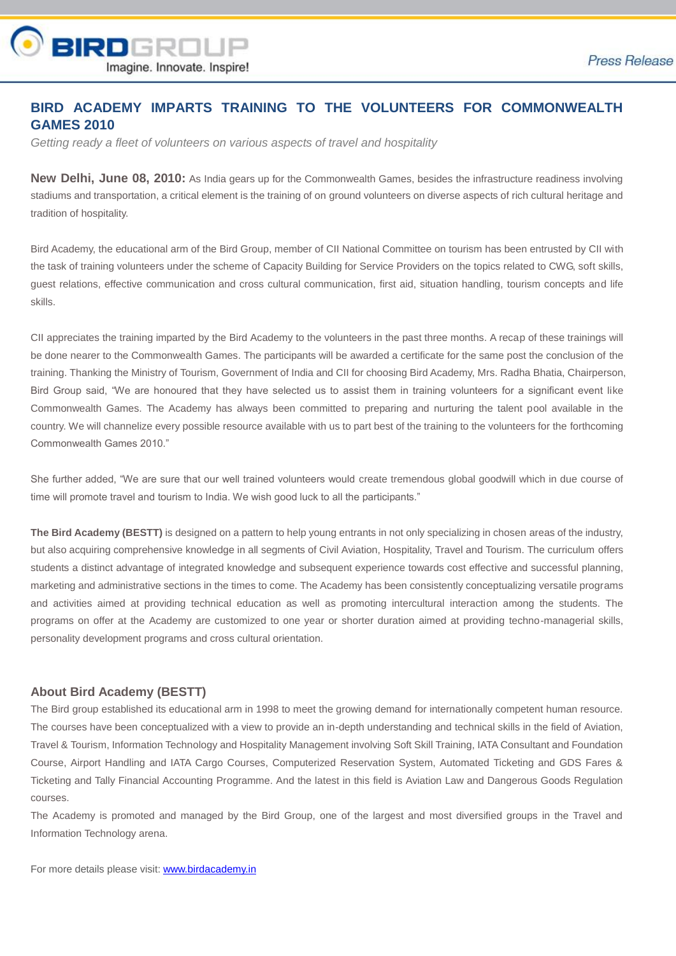

## **BIRD ACADEMY IMPARTS TRAINING TO THE VOLUNTEERS FOR COMMONWEALTH GAMES 2010**

*Getting ready a fleet of volunteers on various aspects of travel and hospitality*

**New Delhi, June 08, 2010:** As India gears up for the Commonwealth Games, besides the infrastructure readiness involving stadiums and transportation, a critical element is the training of on ground volunteers on diverse aspects of rich cultural heritage and tradition of hospitality.

Bird Academy, the educational arm of the Bird Group, member of CII National Committee on tourism has been entrusted by CII with the task of training volunteers under the scheme of Capacity Building for Service Providers on the topics related to CWG, soft skills, guest relations, effective communication and cross cultural communication, first aid, situation handling, tourism concepts and life skills.

CII appreciates the training imparted by the Bird Academy to the volunteers in the past three months. A recap of these trainings will be done nearer to the Commonwealth Games. The participants will be awarded a certificate for the same post the conclusion of the training. Thanking the Ministry of Tourism, Government of India and CII for choosing Bird Academy, Mrs. Radha Bhatia, Chairperson, Bird Group said, "We are honoured that they have selected us to assist them in training volunteers for a significant event like Commonwealth Games. The Academy has always been committed to preparing and nurturing the talent pool available in the country. We will channelize every possible resource available with us to part best of the training to the volunteers for the forthcoming Commonwealth Games 2010."

She further added, "We are sure that our well trained volunteers would create tremendous global goodwill which in due course of time will promote travel and tourism to India. We wish good luck to all the participants."

**The Bird Academy (BESTT)** is designed on a pattern to help young entrants in not only specializing in chosen areas of the industry, but also acquiring comprehensive knowledge in all segments of Civil Aviation, Hospitality, Travel and Tourism. The curriculum offers students a distinct advantage of integrated knowledge and subsequent experience towards cost effective and successful planning, marketing and administrative sections in the times to come. The Academy has been consistently conceptualizing versatile programs and activities aimed at providing technical education as well as promoting intercultural interaction among the students. The programs on offer at the Academy are customized to one year or shorter duration aimed at providing techno-managerial skills, personality development programs and cross cultural orientation.

## **About Bird Academy (BESTT)**

The Bird group established its educational arm in 1998 to meet the growing demand for internationally competent human resource. The courses have been conceptualized with a view to provide an in-depth understanding and technical skills in the field of Aviation, Travel & Tourism, Information Technology and Hospitality Management involving Soft Skill Training, IATA Consultant and Foundation Course, Airport Handling and IATA Cargo Courses, Computerized Reservation System, Automated Ticketing and GDS Fares & Ticketing and Tally Financial Accounting Programme. And the latest in this field is Aviation Law and Dangerous Goods Regulation courses.

The Academy is promoted and managed by the Bird Group, one of the largest and most diversified groups in the Travel and Information Technology arena.

For more details please visit: www.birdacademy.in